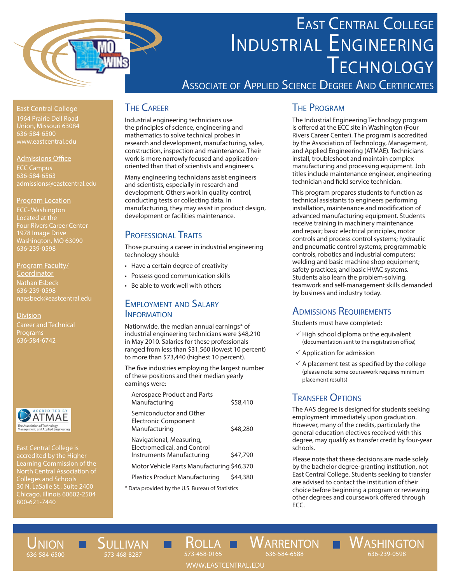

# East Central College INDUSTRIAL ENGINEERING **TECHNOLOGY**

Associate of Applied Science Degree And Certificates

East Central College 1964 Prairie Dell Road Union, Missouri 63084 636-584-6500

#### Admissions Office

ECC Campus 636-584-6563

#### Program Location

ECC- Washington Located at the 1978 Image Drive Washington, MO 63090 636-239-0598

Program Faculty/ Coordinator Nathan Esbeck 636-239-0598 naesbeck@eastcentral.edu

**Division** Career and Technical Programs 636-584-6742



East Central College is accredited by the Higher Learning Commission of the North Central Association of Colleges and Schools Chicago, Illinois 60602-2504

## **THE CAREER**

Industrial engineering technicians use the principles of science, engineering and mathematics to solve technical probes in research and development, manufacturing, sales, construction, inspection and maintenance. Their work is more narrowly focused and applicationoriented than that of scientists and engineers.

Many engineering technicians assist engineers and scientists, especially in research and development. Others work in quality control, conducting tests or collecting data. In manufacturing, they may assist in product design, development or facilities maintenance.

### PROFESSIONAL TRAITS

Those pursuing a career in industrial engineering technology should:

- Have a certain degree of creativity
- • Possess good communication skills
- • Be able to work well with others

#### Employment and Salary **INFORMATION**

Nationwide, the median annual earnings\* of industrial engineering technicians were \$48,210 in May 2010. Salaries for these professionals ranged from less than \$31,560 (lowest 10 percent) to more than \$73,440 (highest 10 percent).

The five industries employing the largest number of these positions and their median yearly earnings were:

| <b>Aerospace Product and Parts</b><br>Manufacturing                                  | \$58,410 |
|--------------------------------------------------------------------------------------|----------|
| Semiconductor and Other<br><b>Electronic Component</b><br>Manufacturing              | \$48,280 |
| Navigational, Measuring,<br>Electromedical, and Control<br>Instruments Manufacturing | \$47,790 |
| Motor Vehicle Parts Manufacturing \$46,370                                           |          |
| <b>Plastics Product Manufacturing</b>                                                | \$44,380 |
| * Data provided by the U.S. Bureau of Statistics                                     |          |

### The Program

The Industrial Engineering Technology program is offered at the ECC site in Washington (Four Rivers Career Center). The program is accredited by the Association of Technology, Management, and Applied Engineering (ATMAE). Technicians install, troubleshoot and maintain complex manufacturing and processing equipment. Job titles include maintenance engineer, engineering technician and field service technician.

This program prepares students to function as technical assistants to engineers performing installation, maintenance and modification of advanced manufacturing equipment. Students receive training in machinery maintenance and repair; basic electrical principles, motor controls and process control systems; hydraulic and pneumatic control systems; programmable controls, robotics and industrial computers; welding and basic machine shop equipment; safety practices; and basic HVAC systems. Students also learn the problem-solving, teamwork and self-management skills demanded by business and industry today.

### **ADMISSIONS REQUIREMENTS**

Students must have completed:

- $\checkmark$  High school diploma or the equivalent (documentation sent to the registration office)
- $\checkmark$  Application for admission
- $\checkmark$  A placement test as specified by the college (please note: some coursework requires minimum placement results)

## **TRANSFER OPTIONS**

The AAS degree is designed for students seeking employment immediately upon graduation. However, many of the credits, particularly the general education electives received with this degree, may qualify as transfer credit by four-year schools.

Please note that these decisions are made solely by the bachelor degree-granting institution, not East Central College. Students seeking to transfer are advised to contact the institution of their choice before beginning a program or reviewing other degrees and coursework offered through ECC.

636-239-0598

## UNION 636-584-6500

Sullivan 573-468-8287

Rolla 573-458-0165 WARRENTON WASHINGTON 636-584-6588

www.eastcentral.edu